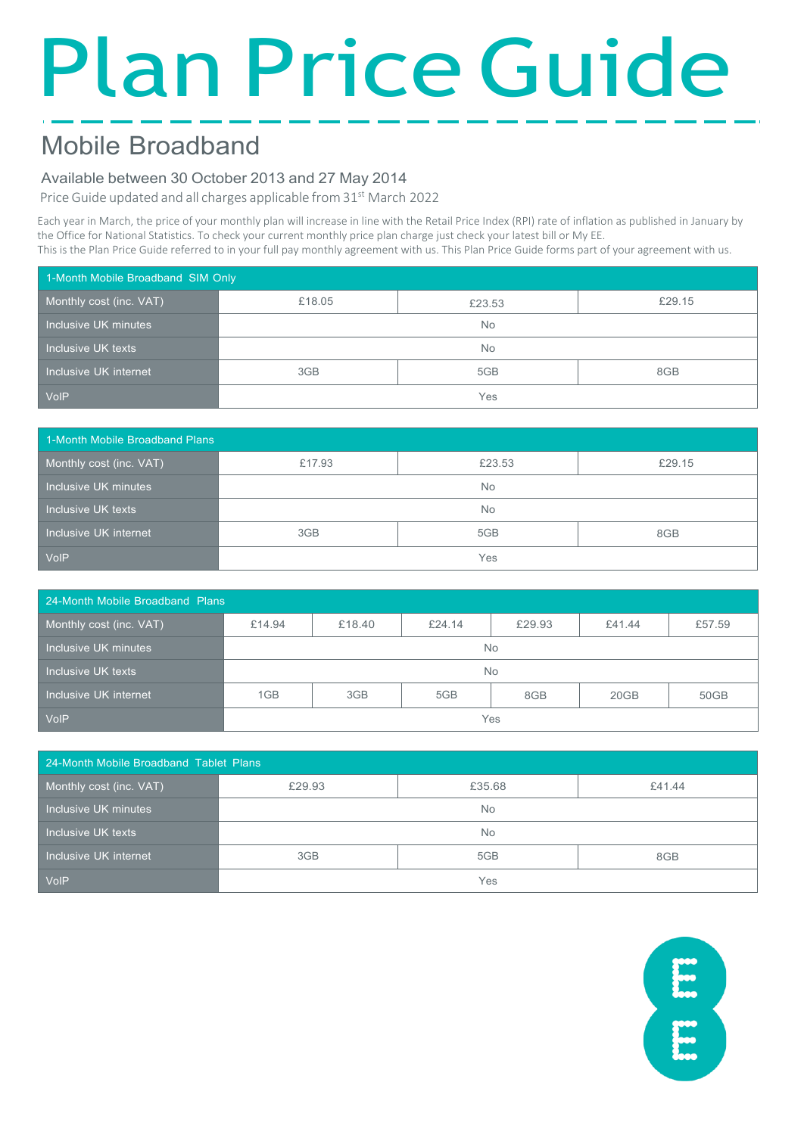# Plan Price Guide

# Mobile Broadband

### Available between 30 October 2013 and 27 May 2014

Price Guide updated and all charges applicable from 31<sup>st</sup> March 2022

Each year in March, the price of your monthly plan will increase in line with the Retail Price Index (RPI) rate of inflation as published in January by the Office for National Statistics. To check your current monthly price plan charge just check your latest bill or My EE.

This is the Plan Price Guide referred to in your full pay monthly agreement with us. This Plan Price Guide forms part of your agreement with us.

| 1-Month Mobile Broadband SIM Only |           |        |        |
|-----------------------------------|-----------|--------|--------|
| Monthly cost (inc. VAT)           | £18.05    | £23.53 | £29.15 |
| Inclusive UK minutes              | <b>No</b> |        |        |
| Inclusive UK texts                | <b>No</b> |        |        |
| Inclusive UK internet             | 3GB       | 5GB    | 8GB    |
| <b>VolP</b>                       | Yes       |        |        |

| 1-Month Mobile Broadband Plans |           |        |        |
|--------------------------------|-----------|--------|--------|
| Monthly cost (inc. VAT)        | £17.93    | £23.53 | £29.15 |
| Inclusive UK minutes           | <b>No</b> |        |        |
| Inclusive UK texts             | <b>No</b> |        |        |
| Inclusive UK internet          | 3GB       | 5GB    | 8GB    |
| <b>VoIP</b>                    |           | Yes    |        |

| 24-Month Mobile Broadband Plans |           |        |        |        |        |        |
|---------------------------------|-----------|--------|--------|--------|--------|--------|
| Monthly cost (inc. VAT)         | £14.94    | £18.40 | £24.14 | £29.93 | £41.44 | £57.59 |
| Inclusive UK minutes            | <b>No</b> |        |        |        |        |        |
| Inclusive UK texts              | <b>No</b> |        |        |        |        |        |
| Inclusive UK internet           | 1GB       | 3GB    | 5GB    | 8GB    | 20GB   | 50GB   |
| <b>VoIP</b>                     | Yes       |        |        |        |        |        |

| 24-Month Mobile Broadband Tablet Plans |        |           |        |
|----------------------------------------|--------|-----------|--------|
| Monthly cost (inc. VAT)                | £29.93 | £35.68    | £41.44 |
| Inclusive UK minutes                   |        | <b>No</b> |        |
| Inclusive UK texts                     |        | <b>No</b> |        |
| Inclusive UK internet                  | 3GB    | 5GB       | 8GB    |
| VolP                                   | Yes    |           |        |

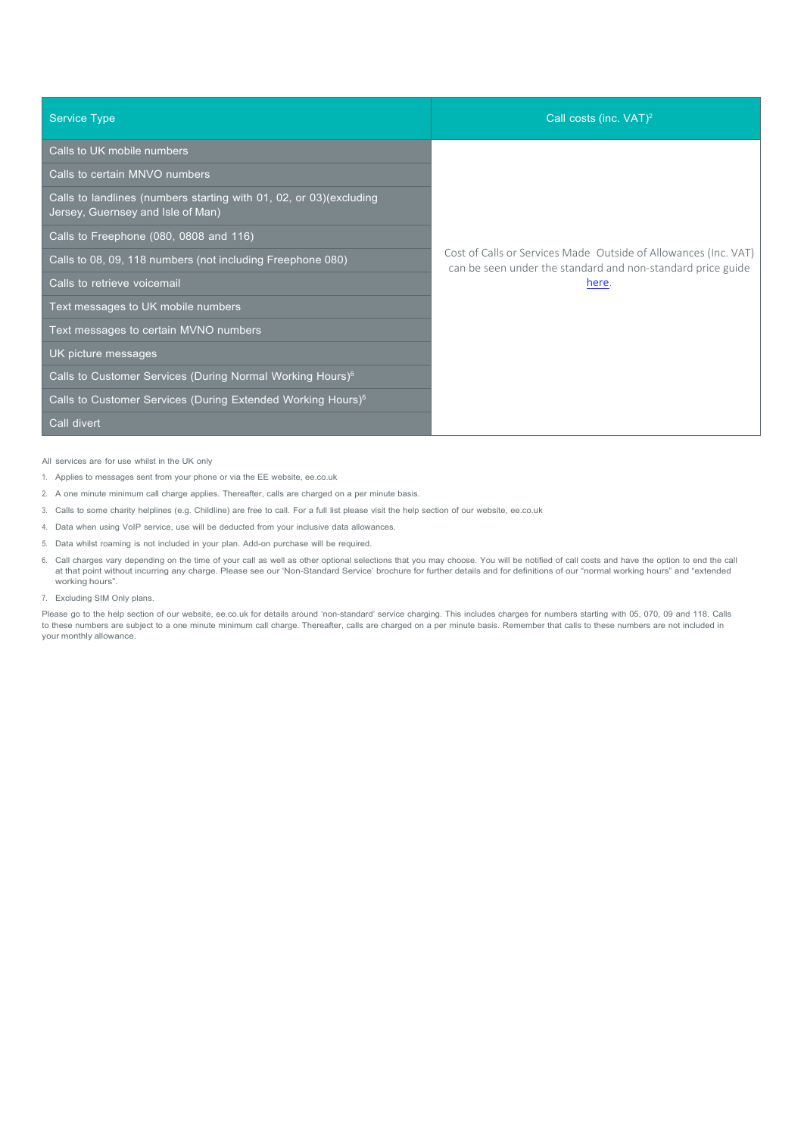| <b>Service Type</b>                                                                                     | Call costs (inc. VAT) <sup>2</sup>                                                                                             |
|---------------------------------------------------------------------------------------------------------|--------------------------------------------------------------------------------------------------------------------------------|
| Calls to UK mobile numbers                                                                              |                                                                                                                                |
| Calls to certain MNVO numbers                                                                           |                                                                                                                                |
| Calls to landlines (numbers starting with 01, 02, or 03)(excluding<br>Jersey, Guernsey and Isle of Man) |                                                                                                                                |
| Calls to Freephone (080, 0808 and 116)                                                                  |                                                                                                                                |
| Calls to 08, 09, 118 numbers (not including Freephone 080)                                              | Cost of Calls or Services Made Outside of Allowances (Inc. VAT)<br>can be seen under the standard and non-standard price guide |
| Calls to retrieve voicemail                                                                             | here.                                                                                                                          |
| Text messages to UK mobile numbers                                                                      |                                                                                                                                |
| Text messages to certain MVNO numbers                                                                   |                                                                                                                                |
| UK picture messages                                                                                     |                                                                                                                                |
| Calls to Customer Services (During Normal Working Hours) <sup>6</sup>                                   |                                                                                                                                |
| Calls to Customer Services (During Extended Working Hours) <sup>6</sup>                                 |                                                                                                                                |
| Call divert                                                                                             |                                                                                                                                |

All services are for use whilst in the UK only

- 1. Applies to messages sent from your phone or via the EE website, ee.co.uk
- 2. A one minute minimum call charge applies. Thereafter, calls are charged on a per minute basis.
- 3. Calls to some charity helplines (e.g. Childline) are free to call. For a full list please visit the help section of our website, ee.co.uk
- 4. Data when using VoIP service, use will be deducted from your inclusive data allowances.
- 5. Data whilst roaming is not included in your plan. Add-on purchase will be required.
- 6. Call charges vary depending on the time of your call as well as other optional selections that you may choose. You will be notified of call costs and have the option to end the call at that point without incurring any charge. Please see our 'Non-Standard Service' brochure for further details and for definitions of our "normal working hours" and "extended working hours".
- 7. Excluding SIM Only plans.

Please go to the help section of our website, ee.co.uk for details around 'non-standard' service charging. This includes charges for numbers starting with 05, 070, 09 and 118. Calls to these numbers are subject to a one minute minimum call charge. Thereafter, calls are charged on a per minute basis. Remember that calls to these numbers are not included in your monthly allowance.